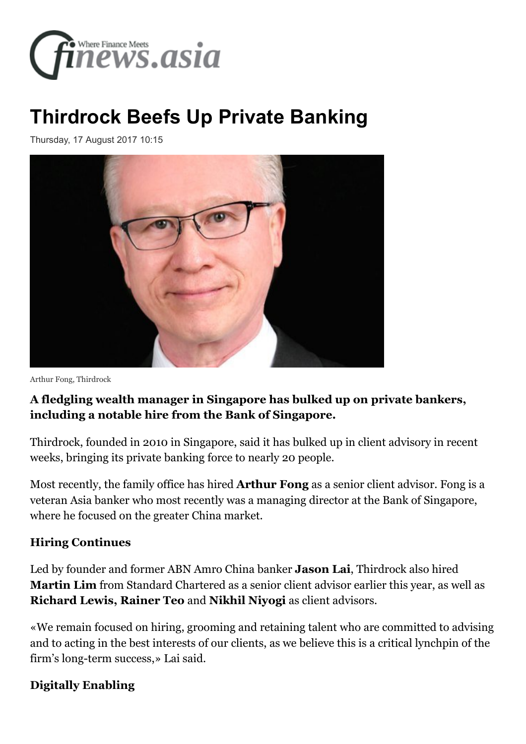

## **[Thirdrock Beefs Up Private Banking](http://www.finews.asia/finance/25291-peoplemoves-privatebanking-thirdrock-arthur-fong-bank-of-singapore)**

Thursday, 17 August 2017 10:15



Arthur Fong, Thirdrock

## **A fledgling wealth manager in Singapore has bulked up on private bankers, including a notable hire from the Bank of Singapore.**

Thirdrock, founded in 2010 in Singapore, said it has bulked up in client advisory in recent weeks, bringing its private banking force to nearly 20 people.

Most recently, the family office has hired **Arthur Fong** as a senior client advisor. Fong is a veteran Asia banker who most recently was a managing director at the Bank of Singapore, where he focused on the greater China market.

## **Hiring Continues**

Led by founder and former ABN Amro China banker **Jason Lai**, Thirdrock also hired **Martin Lim** from Standard Chartered as a senior client advisor earlier this year, as well as **Richard Lewis, Rainer Teo** and **Nikhil Niyogi** as client advisors.

«We remain focused on hiring, grooming and retaining talent who are committed to advising and to acting in the best interests of our clients, as we believe this is a critical lynchpin of the firm's long-term success,» Lai said.

## **Digitally Enabling**